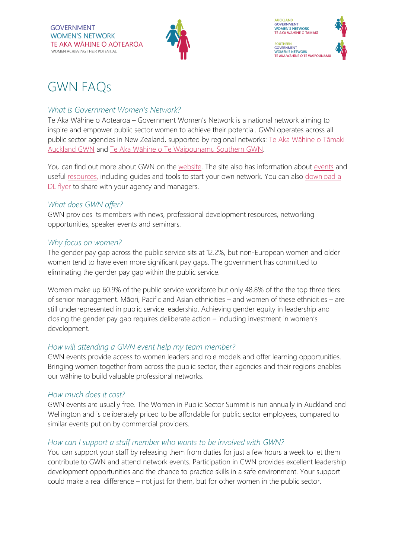

# GWN FAQs

#### *What is Government Women's Network?*

Te Aka Wāhine o Aotearoa – Government Women's Network is a national network aiming to inspire and empower public sector women to achieve their potential. GWN operates across all public sector agencies in New Zealand, supported by regional networks: Te Aka Wāhine o Tāmaki [Auckland GWN](https://gwn.govt.nz/our-work/regional-networks/agwn/) and Te Aka Wāhine o [Te Waipounamu Southern GWN.](https://gwn.govt.nz/our-work/regional-networks/sgwn/)

You can find out more about GWN on the [website.](https://gwn.govt.nz/) The site also has information about [events](https://gwn.govt.nz/learning-events/events/) and useful [resources,](https://gwn.govt.nz/news-resources/resources/tools-and-guides/) including quides and tools to start your own network. You can also download a [DL flyer](https://gwn.govt.nz/assets/Resources/Tools-and-guides/Join-a-womens-network.pdf) to share with your agency and managers.

## *What does GWN offer?*

GWN provides its members with news, professional development resources, networking opportunities, speaker events and seminars.

## *Why focus on women?*

The gender pay gap across the public service sits at 12.2%, but non-European women and older women tend to have even more significant pay gaps. The government has committed to eliminating the gender pay gap within the public service.

Women make up 60.9% of the public service workforce but only 48.8% of the the top three tiers of senior management. Māori, Pacific and Asian ethnicities – and women of these ethnicities – are still underrepresented in public service leadership. Achieving gender equity in leadership and closing the gender pay gap requires deliberate action – including investment in women's development.

# *How will attending a GWN event help my team member?*

GWN events provide access to women leaders and role models and offer learning opportunities. Bringing women together from across the public sector, their agencies and their regions enables our wāhine to build valuable professional networks.

# *How much does it cost?*

GWN events are usually free. The Women in Public Sector Summit is run annually in Auckland and Wellington and is deliberately priced to be affordable for public sector employees, compared to similar events put on by commercial providers.

#### *How can I support a staff member who wants to be involved with GWN?*

You can support your staff by releasing them from duties for just a few hours a week to let them contribute to GWN and attend network events. Participation in GWN provides excellent leadership development opportunities and the chance to practice skills in a safe environment. Your support could make a real difference – not just for them, but for other women in the public sector.